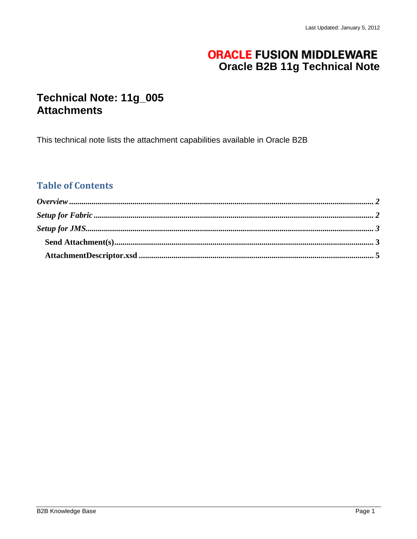# **ORACLE FUSION MIDDLEWARE Oracle B2B 11g Technical Note**

## Technical Note: 11g\_005 **Attachments**

This technical note lists the attachment capabilities available in Oracle B2B

## **Table of Contents**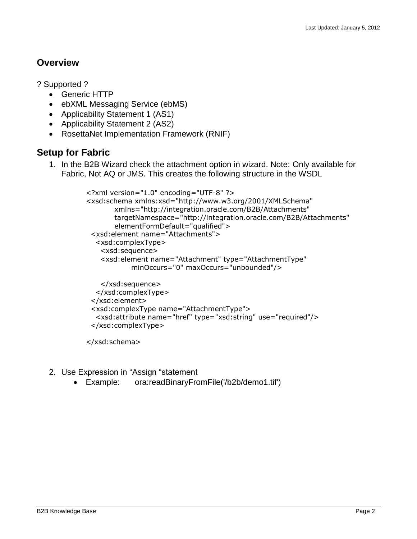### <span id="page-1-0"></span>**Overview**

- ? Supported ?
	- Generic HTTP
	- ebXML Messaging Service (ebMS)
	- Applicability Statement 1 (AS1)
	- Applicability Statement 2 (AS2)
	- RosettaNet Implementation Framework (RNIF)

### <span id="page-1-1"></span>**Setup for Fabric**

1. In the B2B Wizard check the attachment option in wizard. Note: Only available for Fabric, Not AQ or JMS. This creates the following structure in the WSDL

```
<?xml version="1.0" encoding="UTF-8" ?>
<xsd:schema xmlns:xsd="http://www.w3.org/2001/XMLSchema"
        xmlns="http://integration.oracle.com/B2B/Attachments"
        targetNamespace="http://integration.oracle.com/B2B/Attachments"
        elementFormDefault="qualified">
  <xsd:element name="Attachments">
   <xsd:complexType>
    <xsd:sequence>
    <xsd:element name="Attachment" type="AttachmentType"
            minOccurs="0" maxOccurs="unbounded"/>
    </xsd:sequence>
   </xsd:complexType>
  </xsd:element>
  <xsd:complexType name="AttachmentType">
   <xsd:attribute name="href" type="xsd:string" use="required"/>
  </xsd:complexType>
```
</xsd:schema>

- 2. Use Expression in "Assign "statement
	- Example: ora:readBinaryFromFile('/b2b/demo1.tif')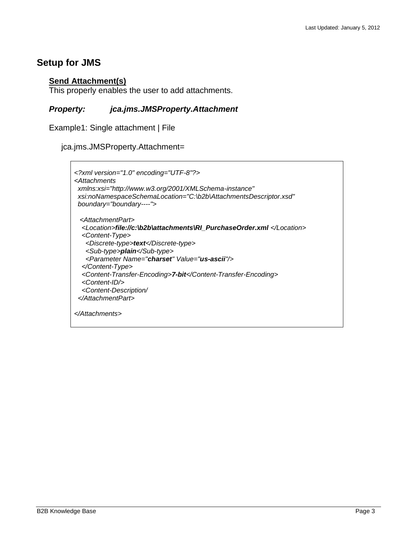### <span id="page-2-1"></span><span id="page-2-0"></span>**Setup for JMS**

### **Send Attachment(s)**

This properly enables the user to add attachments.

#### *Property: jca.jms.JMSProperty.Attachment*

Example1: Single attachment | File

jca.jms.JMSProperty.Attachment=

```
<?xml version="1.0" encoding="UTF-8"?>
<Attachments 
 xmlns:xsi="http://www.w3.org/2001/XMLSchema-instance" 
 xsi:noNamespaceSchemaLocation="C:\b2b\AttachmentsDescriptor.xsd" 
 boundary="boundary----">
  <AttachmentPart>
   <Location>file://c:\b2b\attachments\RI_PurchaseOrder.xml </Location>
   <Content-Type>
    <Discrete-type>text</Discrete-type>
    <Sub-type>plain</Sub-type>
    <Parameter Name="charset" Value="us-ascii"/>
   </Content-Type>
   <Content-Transfer-Encoding>7-bit</Content-Transfer-Encoding>
   <Content-ID/>
   <Content-Description/
  </AttachmentPart>
</Attachments>
```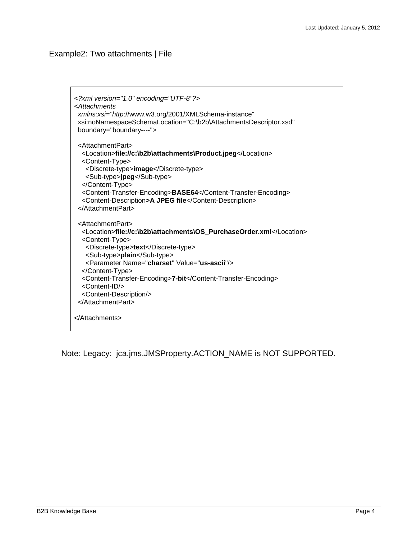#### Example2: Two attachments | File

```
<?xml version="1.0" encoding="UTF-8"?>
<Attachments 
 xmlns:xsi="http://www.w3.org/2001/XMLSchema-instance" 
 xsi:noNamespaceSchemaLocation="C:\b2b\AttachmentsDescriptor.xsd" 
 boundary="boundary----">
  <AttachmentPart>
   <Location>file://c:\b2b\attachments\Product.jpeg</Location>
   <Content-Type>
    <Discrete-type>image</Discrete-type>
    <Sub-type>jpeg</Sub-type>
   </Content-Type>
   <Content-Transfer-Encoding>BASE64</Content-Transfer-Encoding>
   <Content-Description>A JPEG file</Content-Description>
  </AttachmentPart>
  <AttachmentPart>
   <Location>file://c:\b2b\attachments\OS_PurchaseOrder.xml</Location>
   <Content-Type>
    <Discrete-type>text</Discrete-type>
    <Sub-type>plain</Sub-type>
    <Parameter Name="charset" Value="us-ascii"/>
   </Content-Type>
   <Content-Transfer-Encoding>7-bit</Content-Transfer-Encoding>
   <Content-ID/>
   <Content-Description/>
  </AttachmentPart>
</Attachments>
```
Note: Legacy: jca.jms.JMSProperty.ACTION\_NAME is NOT SUPPORTED.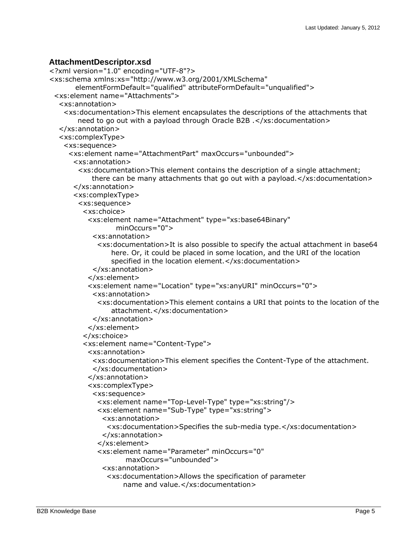#### <span id="page-4-0"></span>**AttachmentDescriptor.xsd**

```
<?xml version="1.0" encoding="UTF-8"?>
<xs:schema xmlns:xs="http://www.w3.org/2001/XMLSchema"
        elementFormDefault="qualified" attributeFormDefault="unqualified">
  <xs:element name="Attachments">
   <xs:annotation>
    <xs:documentation>This element encapsulates the descriptions of the attachments that 
        need to go out with a payload through Oracle B2B .</xs:documentation>
   </xs:annotation>
   <xs:complexType>
    <xs:sequence>
      <xs:element name="AttachmentPart" maxOccurs="unbounded">
       <xs:annotation>
        <xs:documentation>This element contains the description of a single attachment; 
           there can be many attachments that go out with a payload.</xs:documentation>
       </xs:annotation>
       <xs:complexType>
        <xs:sequence>
          <xs:choice>
           <xs:element name="Attachment" type="xs:base64Binary"
                   minOccurs="0">
            <xs:annotation>
              <xs:documentation>It is also possible to specify the actual attachment in base64
                 here. Or, it could be placed in some location, and the URI of the location 
                specified in the location element.</xs:documentation>
            </xs:annotation>
           </xs:element>
           <xs:element name="Location" type="xs:anyURI" minOccurs="0">
            <xs:annotation>
              <xs:documentation>This element contains a URI that points to the location of the
                 attachment.</xs:documentation>
            </xs:annotation>
           </xs:element>
          </xs:choice>
          <xs:element name="Content-Type">
           <xs:annotation>
            <xs:documentation>This element specifies the Content-Type of the attachment.
             </xs:documentation>
           </xs:annotation>
           <xs:complexType>
            <xs:sequence>
              <xs:element name="Top-Level-Type" type="xs:string"/>
              <xs:element name="Sub-Type" type="xs:string">
               <xs:annotation>
                <xs:documentation>Specifies the sub-media type.</xs:documentation>
               </xs:annotation>
              </xs:element>
              <xs:element name="Parameter" minOccurs="0"
                     maxOccurs="unbounded">
               <xs:annotation>
                <xs:documentation>Allows the specification of parameter
                    name and value.</xs:documentation>
```